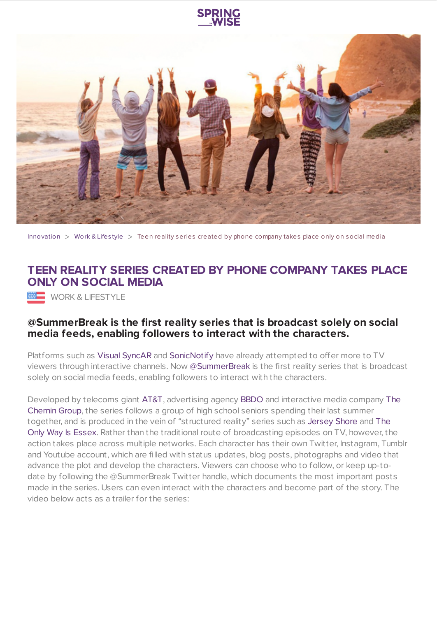

[Innovation](https://www.springwise.com/search?type=innovation)  $>$  [Work](https://www.springwise.com/search?type=innovation§or=work-lifestyle) & Lifestyle  $>$  Teen reality series created by phone company takes place only on social media

## **TEEN REALITY SERIES CREATED BY PHONE COMPANY TAKES PLACE ONLY ON SOCIAL MEDIA**

**WORK & LIFESTYLE** 

## **@SummerBreak is the first reality series that is broadcast solely on social media feeds, enabling followers to interact with the characters.**

Platforms such as Visual [SyncAR](https://www.springwise.com/through-ar-digital-watermarking-tv-viewers-synchronized-companion-content/) and [SonicNotify](https://www.springwise.com/inaudible-frequencies-trigger-smartphone-content-platform/) have already attempted to offer more to TV viewers through interactive channels. Now [@SummerBreak](https://twitter.com/summerbreak) is the first reality series that is broadcast solely on social media feeds, enabling followers to interact with the characters.

Developed by telecoms giant [AT&T,](http://www.att.com/gen/press-room?pid=24375&cdvn=news&newsarticleid=36603) [advertising](http://en.wikipedia.org/wiki/Peter_Chernin) agency [BBDO](http://www.bbdo.com/) and interactive media company The Chernin Group, the series follows a group of high school seniors spending their last summer together, and is produced in the vein of "structured reality" series such as [Jersey](http://en.wikipedia.org/wiki/Jersey_Shore_(TV_series)) Shore and The Only Way Is Essex. Rather than the traditional route of [broadcasting](http://en.wikipedia.org/wiki/The_Only_Way_Is_Essex) episodes on TV, however, the action takes place across multiple networks. Each character has their own Twitter, Instagram, Tumblr and Youtube account, which are filled with status updates, blog posts, photographs and video that advance the plot and develop the characters. Viewers can choose who to follow, or keep up-todate by following the @SummerBreak Twitter handle, which documents the most important posts made in the series. Users can even interact with the characters and become part of the story. The video below acts as a trailer for the series: